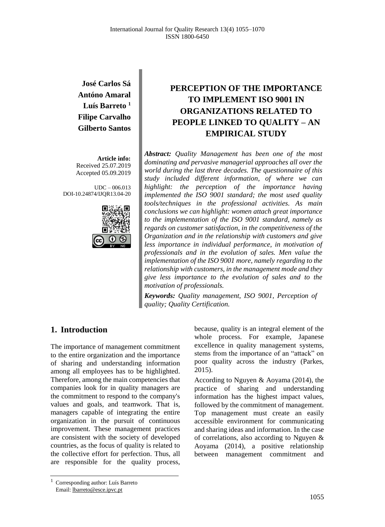**José Carlos Sá Antóno Amaral Luís Barreto <sup>1</sup> Filipe Carvalho Gilberto Santos**

**Article info:** Received 25.07.2019 Accepted 05.09.2019

UDC – 006.013 DOI-10.24874/IJQR13.04-20



# **PERCEPTION OF THE IMPORTANCE TO IMPLEMENT ISO 9001 IN ORGANIZATIONS RELATED TO PEOPLE LINKED TO QUALITY – AN EMPIRICAL STUDY**

*Abstract: Quality Management has been one of the most dominating and pervasive managerial approaches all over the world during the last three decades. The questionnaire of this study included different information, of where we can highlight: the perception of the importance having implemented the ISO 9001 standard; the most used quality tools/techniques in the professional activities. As main conclusions we can highlight: women attach great importance to the implementation of the ISO 9001 standard, namely as regards on customer satisfaction, in the competitiveness of the Organization and in the relationship with customers and give less importance in individual performance, in motivation of professionals and in the evolution of sales. Men value the implementation of the ISO 9001 more, namely regarding to the relationship with customers, in the management mode and they give less importance to the evolution of sales and to the motivation of professionals.*

*Keywords: Quality management, ISO 9001, Perception of quality; Quality Certification.*

## **1. Introduction**

The importance of management commitment to the entire organization and the importance of sharing and understanding information among all employees has to be highlighted. Therefore, among the main competencies that companies look for in quality managers are the commitment to respond to the company's values and goals, and teamwork. That is, managers capable of integrating the entire organization in the pursuit of continuous improvement. These management practices are consistent with the society of developed countries, as the focus of quality is related to the collective effort for perfection. Thus, all are responsible for the quality process,

because, quality is an integral element of the whole process. For example, Japanese excellence in quality management systems, stems from the importance of an "attack" on poor quality across the industry (Parkes, 2015).

According to Nguyen & Aoyama (2014), the practice of sharing and understanding information has the highest impact values, followed by the commitment of management. Top management must create an easily accessible environment for communicating and sharing ideas and information. In the case of correlations, also according to Nguyen & Aoyama (2014), a positive relationship between management commitment and

<sup>1</sup> Corresponding author: Luís Barreto Email: lbarreto@esce.ipvc.pt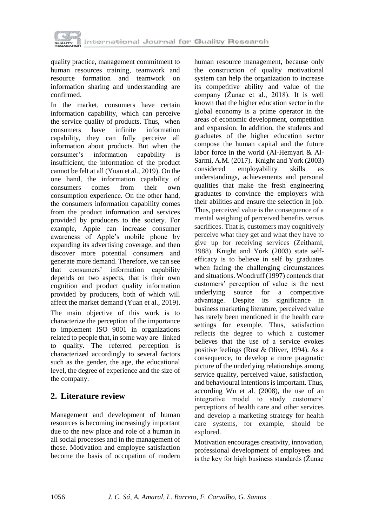

quality practice, management commitment to human resources training, teamwork and resource formation and teamwork on information sharing and understanding are confirmed.

In the market, consumers have certain information capability, which can perceive the service quality of products. Thus, when consumers have infinite information capability, they can fully perceive all information about products. But when the consumer's information capability is insufficient, the information of the product cannot be felt at all (Yuan et al., 2019). On the one hand, the information capability of consumers comes from their own consumption experience. On the other hand, the consumers information capability comes from the product information and services provided by producers to the society. For example, Apple can increase consumer awareness of Apple's mobile phone by expanding its advertising coverage, and then discover more potential consumers and generate more demand. Therefore, we can see that consumers' information capability depends on two aspects, that is their own cognition and product quality information provided by producers, both of which will affect the market demand (Yuan et al., 2019).

The main objective of this work is to characterize the perception of the importance to implement ISO 9001 in organizations related to people that, in some way are linked to quality. The referred perception is characterized accordingly to several factors such as the gender, the age, the educational level, the degree of experience and the size of the company.

# **2. Literature review**

Management and development of human resources is becoming increasingly important due to the new place and role of a human in all social processes and in the management of those. Motivation and employee satisfaction become the basis of occupation of modern human resource management, because only the construction of quality motivational system can help the organization to increase its competitive ability and value of the company (Žunac et al., 2018). It is well known that the higher education sector in the global economy is a prime operator in the areas of economic development, competition and expansion. In addition, the students and graduates of the higher education sector compose the human capital and the future labor force in the world (Al-Hemyari & Al-Sarmi, A.M. (2017). Knight and York (2003) considered employability skills as understandings, achievements and personal qualities that make the fresh engineering graduates to convince the employers with their abilities and ensure the selection in job. Thus, perceived value is the consequence of a mental weighing of perceived benefits versus sacrifices. That is, customers may cognitively perceive what they get and what they have to give up for receiving services (Zeithaml, 1988). Knight and York (2003) state selfefficacy is to believe in self by graduates when facing the challenging circumstances and situations. Woodruff (1997) contends that customers' perception of value is the next underlying source for a competitive advantage. Despite its significance in business marketing literature, perceived value has rarely been mentioned in the health care settings for exemple. Thus, satisfaction reflects the degree to which a customer believes that the use of a service evokes positive feelings (Rust & Oliver, 1994). As a consequence, to develop a more pragmatic picture of the underlying relationships among service quality, perceived value, satisfaction, and behavioural intentions is important. Thus, according Wu et al. (2008), the use of an integrative model to study customers' perceptions of health care and other services and develop a marketing strategy for health care systems, for example, should be explored.

Motivation encourages creativity, innovation, professional development of employees and is the key for high business standards (Žunac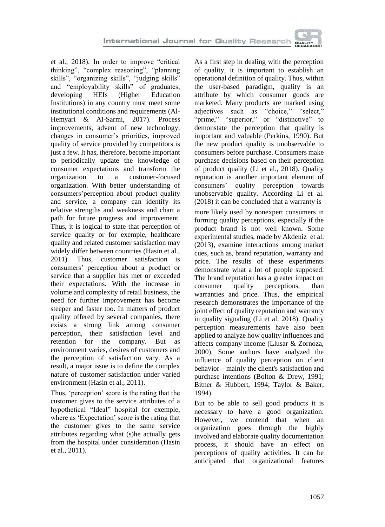

et al., 2018). In order to improve "critical thinking", "complex reasoning", "planning skills", "organizing skills", "judging skills" and "employability skills" of graduates, developing HEIs (Higher Education Institutions) in any country must meet some institutional conditions and requirements (Al-Hemyari & Al-Sarmi, 2017). Process improvements, advent of new technology, changes in consumer's priorities, improved quality of service provided by competitors is just a few. It has, therefore, become important to periodically update the knowledge of consumer expectations and transform the organization to a customer-focused organization. With better understanding of consumers'perception about product quality and service, a company can identify its relative strengths and weakness and chart a path for future progress and improvement. Thus, it is logical to state that perception of service quality or for exemple, healthcare quality and related customer satisfaction may widely differ between countries (Hasin et al., 2011). Thus, customer satisfaction is consumers' perception about a product or service that a supplier has met or exceeded their expectations. With the increase in volume and complexity of retail business, the need for further improvement has become steeper and faster too. In matters of product quality offered by several companies, there exists a strong link among consumer perception, their satisfaction level and retention for the company. But as environment varies, desires of customers and the perception of satisfaction vary. As a result, a major issue is to define the complex nature of customer satisfaction under varied environment (Hasin et al., 2011).

Thus, 'perception' score is the rating that the customer gives to the service attributes of a hypothetical "Ideal" hospital for exemple, where as 'Expectation' score is the rating that the customer gives to the same service attributes regarding what (s)he actually gets from the hospital under consideration (Hasin et al., 2011).

As a first step in dealing with the perception of quality, it is important to establish an operational definition of quality. Thus, within the user-based paradigm, quality is an attribute by which consumer goods are marketed. Many products are marked using adjectives such as "choice," "select," "prime," "superior," or "distinctive" to demonstate the perception that quality is important and valuable (Perkins, 1990). But the new product quality is unobservable to consumers before purchase. Consumers make purchase decisions based on their perception of product quality (Li et al., 2018). Quality reputation is another important element of consumers' quality perception towards unobservable quality. According Li et al. (2018) it can be concluded that a warranty is more likely used by nonexpert consumers in forming quality perceptions, especially if the product brand is not well known. Some experimental studies, made by Akdeniz et al. (2013), examine interactions among market cues, such as, brand reputation, warranty and price. The results of these experiments demonstrate what a lot of people supposed. The brand reputation has a greater impact on consumer quality perceptions, than warranties and price. Thus, the empirical research demonstrates the importance of the joint effect of quality reputation and warranty in quality signaling (Li et al. 2018). Quality perception measurements have also been applied to analyze how quality influences and affects company income (Llusar & Zornoza, 2000). Some authors have analyzed the influence of quality perception on client behavior – mainly the client's satisfaction and purchase intentions (Bolton & Drew, 1991; Bitner & Hubbert, 1994; Taylor & Baker, 1994).

But to be able to sell good products it is necessary to have a good organization. However, we contend that when an organization goes through the highly involved and elaborate quality documentation process, it should have an effect on perceptions of quality activities. It can be anticipated that organizational features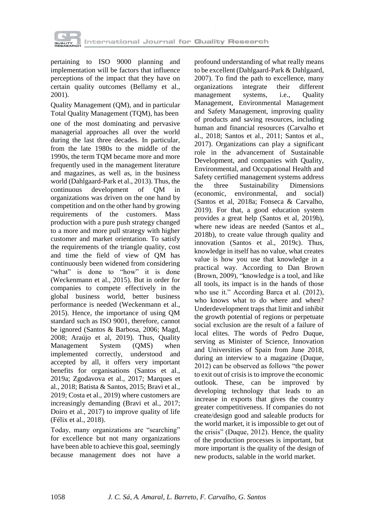

pertaining to ISO 9000 planning and implementation will be factors that influence perceptions of the impact that they have on certain quality outcomes (Bellamy et al., 2001).

Quality Management (QM), and in particular Total Quality Management (TQM), has been one of the most dominating and pervasive managerial approaches all over the world during the last three decades. In particular, from the late 1980s to the middle of the 1990s, the term TQM became more and more frequently used in the management literature and magazines, as well as, in the business world (Dahlgaard-Park et al., 2013). Thus, the continuous development of QM in organizations was driven on the one hand by competition and on the other hand by growing requirements of the customers. Mass production with a pure push strategy changed to a more and more pull strategy with higher customer and market orientation. To satisfy the requirements of the triangle quality, cost and time the field of view of QM has continuously been widened from considering "what" is done to "how" it is done (Weckenmann et al., 2015). But in order for companies to compete effectively in the global business world, better business performance is needed (Weckenmann et al., 2015). Hence, the importance of using QM standard such as ISO 9001, therefore, cannot be ignored (Santos & Barbosa, 2006; Magd, 2008; Araújo et al, 2019). Thus, Quality Management System (QMS) when implemented correctly, understood and accepted by all, it offers very important benefits for organisations (Santos et al., 2019a; Zgodavova et al., 2017; Marques et al., 2018; Batista & Santos, 2015; Bravi et al., 2019; Costa et al., 2019) where customers are increasingly demanding (Bravi et al., 2017; Doiro et al., 2017) to improve quality of life (Félix et al., 2018).

Today, many organizations are "searching" for excellence but not many organizations have been able to achieve this goal, seemingly because management does not have a

profound understanding of what really means to be excellent (Dahlgaard-Park & Dahlgaard, 2007). To find the path to excellence, many organizations integrate their different management systems, i.e., Quality Management, Environmental Management and Safety Management, improving quality of products and saving resources, including human and financial resources (Carvalho et al., 2018; Santos et al., 2011; Santos et al., 2017). Organizations can play a significant role in the advancement of Sustainable Development, and companies with Quality, Environmental, and Occupational Health and Safety certified management systems address the three Sustainability Dimensions (economic, environmental, and social) (Santos et al, 2018a; Fonseca & Carvalho, 2019). For that, a good education system provides a great help (Santos et al, 2019b), where new ideas are needed (Santos et al., 2018b), to create value through quality and innovation (Santos et al., 2019c). Thus, knowledge in itself has no value, what creates value is how you use that knowledge in a practical way. According to Dan Brown (Brown, 2009), "knowledge is a tool, and like all tools, its impact is in the hands of those who use it." According Barca et al. (2012), who knows what to do where and when? Underdevelopment traps that limit and inhibit the growth potential of regions or perpetuate social exclusion are the result of a failure of local elites. The words of Pedro Duque, serving as Minister of Science, Innovation and Universities of Spain from June 2018, during an interview to a magazine (Duque, 2012) can be observed as follows "the power to exit out of crisis is to improve the economic outlook. These, can be improved by developing technology that leads to an increase in exports that gives the country greater competitiveness. If companies do not create/design good and saleable products for the world market, it is impossible to get out of the crisis" (Duque, 2012). Hence, the quality of the production processes is important, but more important is the quality of the design of new products, salable in the world market.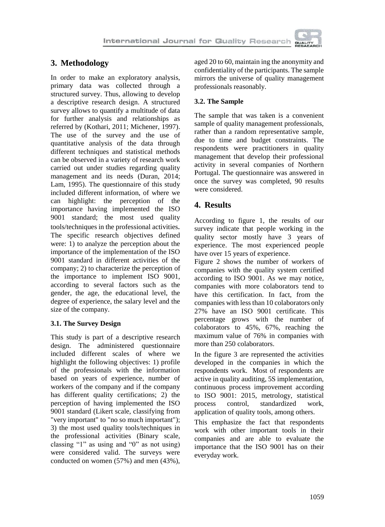

# **3. Methodology**

In order to make an exploratory analysis, primary data was collected through a structured survey. Thus, allowing to develop a descriptive research design. A structured survey allows to quantify a multitude of data for further analysis and relationships as referred by (Kothari, 2011; Michener, 1997). The use of the survey and the use of quantitative analysis of the data through different techniques and statistical methods can be observed in a variety of research work carried out under studies regarding quality management and its needs (Duran, 2014; Lam, 1995). The questionnaire of this study included different information, of where we can highlight: the perception of the importance having implemented the ISO 9001 standard; the most used quality tools/techniques in the professional activities*.* The specific research objectives defined were: 1) to analyze the perception about the importance of the implementation of the ISO 9001 standard in different activities of the company; 2) to characterize the perception of the importance to implement ISO 9001, according to several factors such as the gender, the age, the educational level, the degree of experience, the salary level and the size of the company.

### **3.1. The Survey Design**

This study is part of a descriptive research design. The administered questionnaire included different scales of where we highlight the following objectives: 1) profile of the professionals with the information based on years of experience, number of workers of the company and if the company has different quality certifications; 2) the perception of having implemented the ISO 9001 standard (Likert scale, classifying from "very important" to "no so much important"); 3) the most used quality tools/techniques in the professional activities (Binary scale, classing "1" as using and "0" as not using) were considered valid. The surveys were conducted on women (57%) and men (43%),

aged 20 to 60, maintain ing the anonymity and confidentiality of the participants. The sample mirrors the universe of quality management professionals reasonably.

### **3.2. The Sample**

The sample that was taken is a convenient sample of quality management professionals, rather than a random representative sample, due to time and budget constraints. The respondents were practitioners in quality management that develop their professional activity in several companies of Northern Portugal. The questionnaire was answered in once the survey was completed, 90 results were considered.

## **4. Results**

According to figure 1, the results of our survey indicate that people working in the quality sector mostly have 3 years of experience. The most experienced people have over 15 years of experience.

Figure 2 shows the number of workers of companies with the quality system certified according to ISO 9001. As we may notice, companies with more colaborators tend to have this certification. In fact, from the companies with less than 10 colaborators only 27% have an ISO 9001 certificate. This percentage grows with the number of colaborators to 45%, 67%, reaching the maximum value of 76% in companies with more than 250 colaborators.

In the figure 3 are represented the activities developed in the companies in which the respondents work. Most of respondents are active in quality auditing, 5S implementation, continuous process improvement according to ISO 9001: 2015, metrology, statistical process control, standardized work, application of quality tools, among others.

This emphasize the fact that respondents work with other important tools in their companies and are able to evaluate the importance that the ISO 9001 has on their everyday work.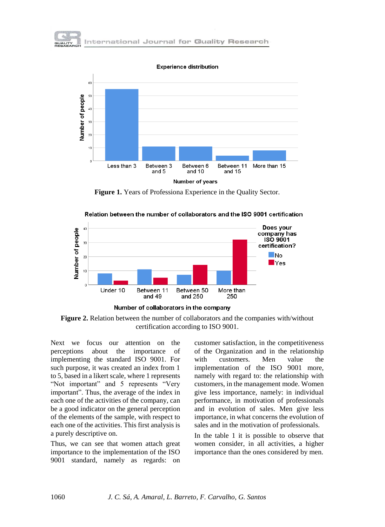

**Experience distribution** 



**Figure 1.** Years of Professiona Experience in the Quality Sector.



Relation between the number of collaborators and the ISO 9001 certification

**Figure 2.** Relation between the number of collaborators and the companies with/without certification according to ISO 9001.

Next we focus our attention on the perceptions about the importance of implementing the standard ISO 9001. For such purpose, it was created an index from 1 to 5, based in a likert scale, where 1 represents "Not important" and 5 represents "Very important". Thus, the average of the index in each one of the activities of the company, can be a good indicator on the general perception of the elements of the sample, with respect to each one of the activities. This first analysis is a purely descriptive on.

Thus, we can see that women attach great importance to the implementation of the ISO 9001 standard, namely as regards: on customer satisfaction, in the competitiveness of the Organization and in the relationship with customers. Men value the implementation of the ISO 9001 more, namely with regard to: the relationship with customers, in the management mode. Women give less importance, namely: in individual performance, in motivation of professionals and in evolution of sales. Men give less importance, in what concerns the evolution of sales and in the motivation of professionals.

In the table 1 it is possible to observe that women consider, in all activities, a higher importance than the ones considered by men.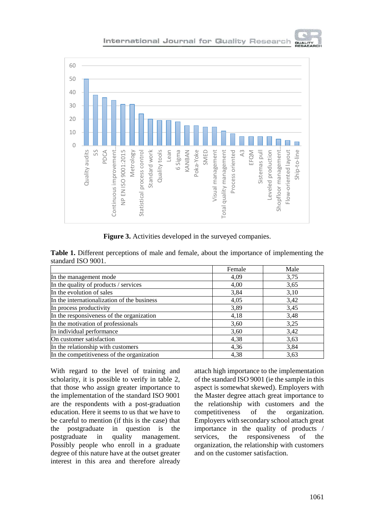

### International Journal for Quality Research



**Figure 3.** Activities developed in the surveyed companies.

| Table 1. Different perceptions of male and female, about the importance of implementing the |  |  |  |  |  |  |
|---------------------------------------------------------------------------------------------|--|--|--|--|--|--|
| standard ISO 9001.                                                                          |  |  |  |  |  |  |

|                                             | Female | Male |
|---------------------------------------------|--------|------|
| In the management mode                      | 4,09   | 3,75 |
| In the quality of products / services       | 4,00   | 3.65 |
| In the evolution of sales                   | 3,84   | 3,10 |
| In the internationalization of the business | 4,05   | 3,42 |
| In process productivity                     | 3,89   | 3.45 |
| In the responsiveness of the organization   | 4,18   | 3.48 |
| In the motivation of professionals          | 3,60   | 3.25 |
| In individual performance                   | 3,60   | 3,42 |
| On customer satisfaction                    | 4,38   | 3.63 |
| In the relationship with customers          | 4,36   | 3,84 |
| In the competitiveness of the organization  | 4,38   | 3.63 |

With regard to the level of training and scholarity, it is possible to verify in table 2, that those who assign greater importance to the implementation of the standard ISO 9001 are the respondents with a post-graduation education. Here it seems to us that we have to be careful to mention (if this is the case) that the postgraduate in question is the postgraduate in quality management. Possibly people who enroll in a graduate degree of this nature have at the outset greater interest in this area and therefore already

attach high importance to the implementation of the standard ISO 9001 (ie the sample in this aspect is somewhat skewed). Employers with the Master degree attach great importance to the relationship with customers and the competitiveness of the organization. Employers with secondary school attach great importance in the quality of products / services, the responsiveness of the organization, the relationship with customers and on the customer satisfaction.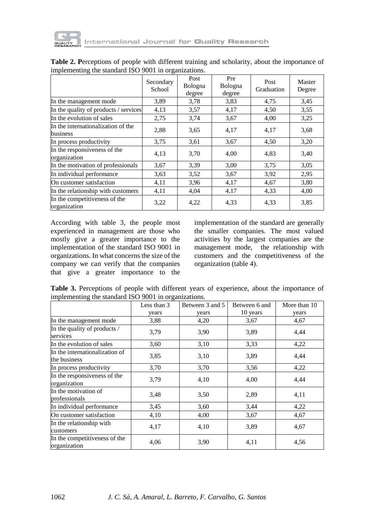

|                                                | Secondary<br>School | Post<br>Bologna<br>degree | Pre<br>Bologna<br>degree | Post<br>Graduation | Master<br>Degree |
|------------------------------------------------|---------------------|---------------------------|--------------------------|--------------------|------------------|
| In the management mode                         | 3,89                | 3,78                      | 3,83                     | 4,75               | 3.45             |
| In the quality of products / services          | 4,13                | 3,57                      | 4,17                     | 4,50               | 3,55             |
| In the evolution of sales                      | 2,75                | 3,74                      | 3,67                     | 4,00               | 3,25             |
| In the internationalization of the<br>business | 2,88                | 3,65                      | 4,17                     | 4,17               | 3.68             |
| In process productivity                        | 3,75                | 3,61                      | 3,67                     | 4,50               | 3,20             |
| In the responsiveness of the<br>organization   | 4,13                | 3,70                      | 4,00                     | 4,83               | 3,40             |
| In the motivation of professionals             | 3,67                | 3.39                      | 3,00                     | 3,75               | 3,05             |
| In individual performance                      | 3.63                | 3,52                      | 3,67                     | 3.92               | 2,95             |
| On customer satisfaction                       | 4,11                | 3,96                      | 4,17                     | 4,67               | 3,80             |
| In the relationship with customers             | 4,11                | 4,04                      | 4,17                     | 4,33               | 4,00             |
| In the competitiveness of the<br>organization  | 3,22                | 4,22                      | 4,33                     | 4,33               | 3,85             |

**Table 2. P**erceptions of people with different training and scholarity, about the importance of implementing the standard ISO 9001 in organizations.

According with table 3, the people most experienced in management are those who mostly give a greater importance to the implementation of the standard ISO 9001 in organizations. In what concerns the size of the company we can verify that the companies that give a greater importance to the implementation of the standard are generally the smaller companies. The most valued activities by the largest companies are the management mode, the relationship with customers and the competitiveness of the organization (table 4).

**Table 3.** Perceptions of people with different years of experience, about the importance of implementing the standard ISO 9001 in organizations.

|                                                | Less than 3 | Between 3 and 5 | Between 6 and | More than 10 |
|------------------------------------------------|-------------|-----------------|---------------|--------------|
|                                                | years       | years           | 10 years      | years        |
| In the management mode                         | 3,88        | 4,20            | 3.67          | 4,67         |
| In the quality of products /<br>services       | 3,79        | 3,90            | 3,89          | 4,44         |
| In the evolution of sales                      | 3,60        | 3,10            | 3,33          | 4,22         |
| In the internationalization of<br>the business | 3,85        | 3,10            | 3,89          | 4,44         |
| In process productivity                        | 3,70        | 3,70            | 3,56          | 4,22         |
| In the responsiveness of the<br>organization   | 3,79        | 4,10            | 4,00          | 4,44         |
| In the motivation of<br>professionals          | 3,48        | 3,50            | 2,89          | 4,11         |
| In individual performance                      | 3.45        | 3,60            | 3,44          | 4,22         |
| On customer satisfaction                       | 4,10        | 4,00            | 3,67          | 4,67         |
| In the relationship with<br>customers          | 4,17        | 4,10            | 3,89          | 4,67         |
| In the competitiveness of the<br>organization  | 4,06        | 3,90            | 4,11          | 4,56         |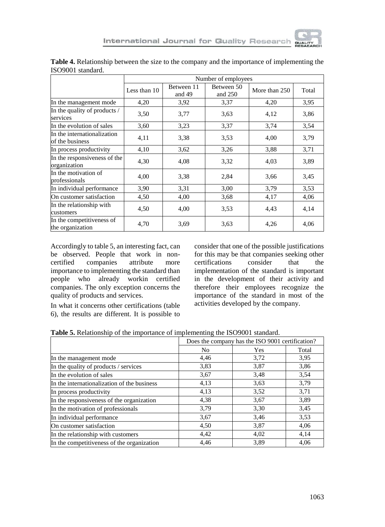

|                                                |              | Number of employees  |                       |               |       |  |  |
|------------------------------------------------|--------------|----------------------|-----------------------|---------------|-------|--|--|
|                                                | Less than 10 | Between 11<br>and 49 | Between 50<br>and 250 | More than 250 | Total |  |  |
| In the management mode                         | 4,20         | 3,92                 | 3,37                  | 4,20          | 3,95  |  |  |
| In the quality of products /<br>services       | 3,50         | 3,77                 | 3,63                  | 4,12          | 3,86  |  |  |
| In the evolution of sales                      | 3.60         | 3,23                 | 3,37                  | 3,74          | 3,54  |  |  |
| In the internationalization<br>of the business | 4,11         | 3,38                 | 3.53                  | 4,00          | 3,79  |  |  |
| In process productivity                        | 4,10         | 3,62                 | 3,26                  | 3,88          | 3,71  |  |  |
| In the responsiveness of the<br>organization   | 4,30         | 4,08                 | 3,32                  | 4,03          | 3,89  |  |  |
| In the motivation of<br>professionals          | 4,00         | 3,38                 | 2,84                  | 3,66          | 3,45  |  |  |
| In individual performance                      | 3,90         | 3,31                 | 3,00                  | 3,79          | 3,53  |  |  |
| On customer satisfaction                       | 4,50         | 4,00                 | 3,68                  | 4,17          | 4,06  |  |  |
| In the relationship with<br>customers          | 4,50         | 4,00                 | 3,53                  | 4,43          | 4,14  |  |  |
| In the competitiveness of<br>the organization  | 4,70         | 3,69                 | 3,63                  | 4,26          | 4,06  |  |  |

**Table 4.** Relationship between the size to the company and the importance of implementing the ISO9001 standard.

Accordingly to table 5, an interesting fact, can be observed. People that work in noncertified companies attribute more importance to implementing the standard than people who already workin certified companies. The only exception concerns the quality of products and services.

In what it concerns other certifications (table 6), the results are different. It is possible to consider that one of the possible justifications for this may be that companies seeking other certifications consider that the implementation of the standard is important in the development of their activity and therefore their employees recognize the importance of the standard in most of the activities developed by the company.

| Table 5. Relationship of the importance of implementing the ISO9001 standard. |  |  |
|-------------------------------------------------------------------------------|--|--|
|                                                                               |  |  |

|                                             | Does the company has the ISO 9001 certification? |      |       |
|---------------------------------------------|--------------------------------------------------|------|-------|
|                                             | N <sub>0</sub>                                   | Yes  | Total |
| In the management mode                      | 4,46                                             | 3,72 | 3.95  |
| In the quality of products / services       | 3,83                                             | 3,87 | 3,86  |
| In the evolution of sales                   | 3,67                                             | 3,48 | 3,54  |
| In the internationalization of the business | 4,13                                             | 3.63 | 3,79  |
| In process productivity                     | 4,13                                             | 3,52 | 3,71  |
| In the responsiveness of the organization   | 4,38                                             | 3,67 | 3,89  |
| In the motivation of professionals          | 3,79                                             | 3,30 | 3,45  |
| In individual performance                   | 3,67                                             | 3,46 | 3.53  |
| On customer satisfaction                    | 4,50                                             | 3,87 | 4,06  |
| In the relationship with customers          | 4,42                                             | 4,02 | 4,14  |
| In the competitiveness of the organization  | 4,46                                             | 3,89 | 4,06  |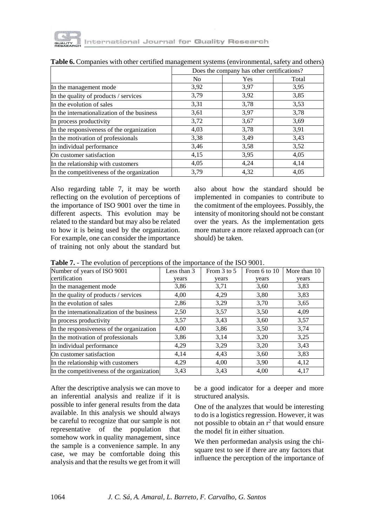

|                                             | Does the company has other certifications? |      |       |  |  |
|---------------------------------------------|--------------------------------------------|------|-------|--|--|
|                                             | N <sub>0</sub>                             | Yes  | Total |  |  |
| In the management mode                      | 3,92                                       | 3,97 | 3,95  |  |  |
| In the quality of products / services       | 3,79                                       | 3,92 | 3,85  |  |  |
| In the evolution of sales                   | 3,31                                       | 3,78 | 3.53  |  |  |
| In the internationalization of the business | 3.61                                       | 3.97 | 3,78  |  |  |
| In process productivity                     | 3,72                                       | 3,67 | 3.69  |  |  |
| In the responsiveness of the organization   | 4,03                                       | 3,78 | 3,91  |  |  |
| In the motivation of professionals          | 3,38                                       | 3.49 | 3,43  |  |  |
| In individual performance                   | 3,46                                       | 3,58 | 3,52  |  |  |
| On customer satisfaction                    | 4,15                                       | 3.95 | 4,05  |  |  |
| In the relationship with customers          | 4,05                                       | 4,24 | 4,14  |  |  |
| In the competitiveness of the organization  | 3,79                                       | 4,32 | 4,05  |  |  |

Also regarding table 7, it may be worth reflecting on the evolution of perceptions of the importance of ISO 9001 over the time in different aspects. This evolution may be related to the standard but may also be related to how it is being used by the organization. For example, one can consider the importance of training not only about the standard but

also about how the standard should be implemented in companies to contribute to the comitment of the employees. Possibly, the intensity of monitoring should not be constant over the years. As the implementation gets more mature a more relaxed approach can (or should) be taken.

**Table 7.** - The evolution of perceptions of the importance of the ISO 9001.

| Number of years of ISO 9001                 | Less than 3 | From 3 to 5 | From 6 to 10 | More than 10 |
|---------------------------------------------|-------------|-------------|--------------|--------------|
| certification                               | vears       | vears       | vears        | years        |
| In the management mode                      | 3,86        | 3,71        | 3,60         | 3.83         |
| In the quality of products / services       | 4,00        | 4,29        | 3,80         | 3,83         |
| In the evolution of sales                   | 2,86        | 3,29        | 3,70         | 3.65         |
| In the internationalization of the business | 2,50        | 3,57        | 3,50         | 4,09         |
| In process productivity                     | 3,57        | 3.43        | 3,60         | 3,57         |
| In the responsiveness of the organization   | 4,00        | 3,86        | 3,50         | 3,74         |
| In the motivation of professionals          | 3,86        | 3,14        | 3,20         | 3.25         |
| In individual performance                   | 4,29        | 3.29        | 3,20         | 3.43         |
| On customer satisfaction                    | 4,14        | 4,43        | 3,60         | 3,83         |
| In the relationship with customers          | 4,29        | 4,00        | 3,90         | 4,12         |
| In the competitiveness of the organization  | 3.43        | 3,43        | 4,00         | 4,17         |

After the descriptive analysis we can move to an inferential analysis and realize if it is possible to infer general results from the data available. In this analysis we should always be careful to recognize that our sample is not representative of the population that somehow work in quality management, since the sample is a convenience sample. In any case, we may be comfortable doing this analysis and that the results we get from it will

be a good indicator for a deeper and more structured analysis.

One of the analyzes that would be interesting to do is a logistics regression. However, it was not possible to obtain an  $r^2$  that would ensure the model fit in either situation.

We then performedan analysis using the chisquare test to see if there are any factors that influence the perception of the importance of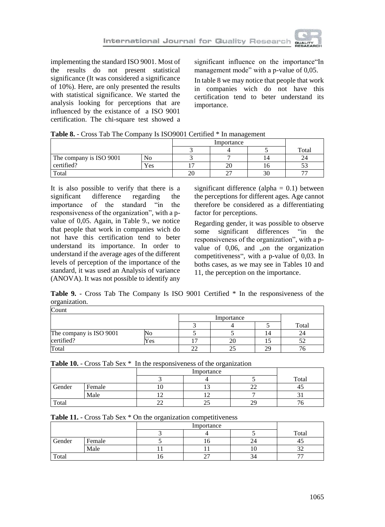

implementing the standard ISO 9001. Most of the results do not present statistical significance (It was considered a significance of 10%). Here, are only presented the results with statistical significance. We started the analysis looking for perceptions that are influenced by the existance of a ISO 9001 certification. The chi-square test showed a significant influence on the importance"In management mode" with a p-value of 0,05.

In table 8 we may notice that people that work in companies wich do not have this certification tend to beter understand its importance.

|  | Table 8. - Cross Tab The Company Is ISO9001 Certified * In management |  |  |
|--|-----------------------------------------------------------------------|--|--|
|  |                                                                       |  |  |

|                         |     |    |             | Importance       |       |  |  |
|-------------------------|-----|----|-------------|------------------|-------|--|--|
|                         |     |    |             |                  | Total |  |  |
| The company is ISO 9001 | No  |    |             | 14               |       |  |  |
| certified?              | Yes |    | 20          |                  |       |  |  |
| Total                   |     | 20 | $\sim$<br>~ | $\Delta$ r<br>3U |       |  |  |

It is also possible to verify that there is a significant difference regarding the<br>importance of the standard "in the of the standard "in responsiveness of the organization", with a pvalue of 0,05. Again, in Table 9., we notice that people that work in companies wich do not have this certification tend to beter understand its importance. In order to understand if the average ages of the different levels of perception of the importance of the standard, it was used an Analysis of variance (ANOVA). It was not possible to identify any

significant difference (alpha  $= 0.1$ ) between the perceptions for different ages. Age cannot therefore be considered as a differentiating factor for perceptions.

Regarding gender, it was possible to observe some significant differences "in the responsiveness of the organization", with a pvalue of  $0.06$ , and  $\Omega$ , on the organization competitiveness", with a p-value of 0,03. In boths cases, as we may see in Tables 10 and 11, the perception on the importance.

**Table 9.** - Cross Tab The Company Is ISO 9001 Certified \* In the responsiveness of the organization.

| Count                   |      |  |            |    |       |  |  |
|-------------------------|------|--|------------|----|-------|--|--|
|                         |      |  | Importance |    |       |  |  |
|                         |      |  |            |    | Total |  |  |
| The company is ISO 9001 |      |  |            | 14 | 24    |  |  |
| certified?              | Y es |  |            |    |       |  |  |
| Total                   |      |  |            | າດ |       |  |  |

| <b>Table 10.</b> - Cross Tab Sex * In the responsiveness of the organization |        |  |            |  |       |  |  |
|------------------------------------------------------------------------------|--------|--|------------|--|-------|--|--|
|                                                                              |        |  | Importance |  |       |  |  |
|                                                                              |        |  |            |  | Total |  |  |
| Gender                                                                       | Female |  |            |  |       |  |  |
|                                                                              | Male   |  |            |  |       |  |  |
| Total                                                                        |        |  |            |  |       |  |  |

**Table 10.** - Cross Tab Sex \* In the responsiveness of the organization

|  |  | Table 11. - Cross Tab Sex * On the organization competitiveness |
|--|--|-----------------------------------------------------------------|
|  |  |                                                                 |

|        |        |    |    |    | Total                    |
|--------|--------|----|----|----|--------------------------|
| Gender | Female |    | 10 | 24 | 43                       |
|        | Male   |    |    | ΙU | ىدر                      |
| Total  |        | 10 | ∼  |    | $\overline{\phantom{a}}$ |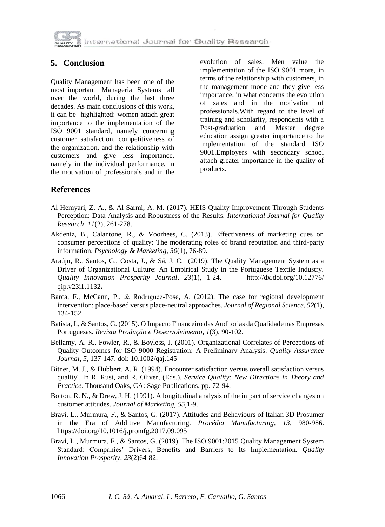

# **5. Conclusion**

Quality Management has been one of the most important Managerial Systems all over the world, during the last three decades. As main conclusions of this work, it can be highlighted: women attach great importance to the implementation of the ISO 9001 standard, namely concerning customer satisfaction, competitiveness of the organization, and the relationship with customers and give less importance, namely in the individual performance, in the motivation of professionals and in the evolution of sales. Men value the implementation of the ISO 9001 more, in terms of the relationship with customers, in the management mode and they give less importance, in what concerns the evolution of sales and in the motivation of professionals.With regard to the level of training and scholarity, respondents with a<br>Post-graduation and Master degree Post-graduation and Master degree education assign greater importance to the implementation of the standard ISO 9001.Employers with secondary school attach greater importance in the quality of products.

### **References**

- Al-Hemyari, Z. A., & Al-Sarmi, A. M. (2017). HEIS Quality Improvement Through Students Perception: Data Analysis and Robustness of the Results. *International Journal for Quality Research*, *11*(2), 261-278.
- Akdeniz, B., Calantone, R., & Voorhees, C. (2013). Effectiveness of marketing cues on consumer perceptions of quality: The moderating roles of brand reputation and third-party information. *Psychology & Marketing*, *30*(1), 76-89.
- Araújo, R., Santos, G., Costa, J., & Sá, J. C. (2019). The Quality Management System as a Driver of Organizational Culture: An Empirical Study in the Portuguese Textile Industry. *Quality Innovation Prosperity Journal*, *23*(1), 1-24. http://dx.doi.org/10.12776/ qip.v23i1.1132**.**
- Barca, F., McCann, P., & Rodrıguez-Pose, A. (2012). The case for regional development intervention: place-based versus place-neutral approaches. *Journal of Regional Science*, *52*(1), 134-152.
- Batista, I., & Santos, G. (2015). O Impacto Financeiro das Auditorias da Qualidade nas Empresas Portuguesas. *Revista Produção e Desenvolvimento*, *1*(3), 90-102.
- Bellamy, A. R., Fowler, R., & Boyless, J. (2001). Organizational Correlates of Perceptions of Quality Outcomes for ISO 9000 Registration: A Preliminary Analysis. *Quality Assurance Journal*, *5*, 137-147. doi: 10.1002/qaj.145
- Bitner, M. J., & Hubbert, A. R. (1994). Encounter satisfaction versus overall satisfaction versus quality'. In R. Rust, and R. Oliver, (Eds.), *Service Quality: New Directions in Theory and Practice*. Thousand Oaks, CA: Sage Publications. pp. 72-94.
- Bolton, R. N., & Drew, J. H. (1991). A longitudinal analysis of the impact of service changes on customer attitudes. *Journal of Marketing*, *55*,1-9.
- Bravi, L., Murmura, F., & Santos, G. (2017). Attitudes and Behaviours of Italian 3D Prosumer in the Era of Additive Manufacturing. *Procédia Manufacturing*, *13*, 980-986. <https://doi.org/10.1016/j.promfg.2017.09.095>
- Bravi, L., Murmura, F., & Santos, G. (2019). The ISO 9001:2015 Quality Management System Standard: Companies' Drivers, Benefits and Barriers to Its Implementation. *Quality Innovation Prosperity*, *23*(2)64-82.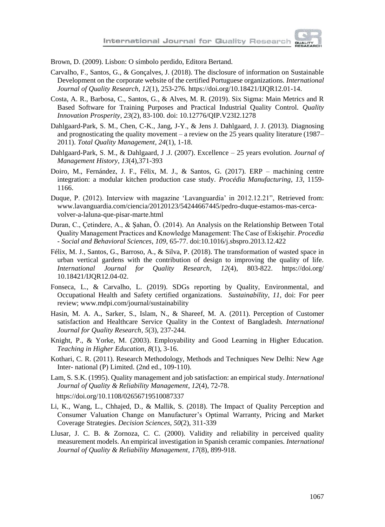Brown, D. (2009). Lisbon: O símbolo perdido, Editora Bertand.

- Carvalho, F., Santos, G., & Gonçalves, J. (2018). The disclosure of information on Sustainable Development on the corporate website of the certified Portuguese organizations. *International Journal of Quality Research*, *12*(1), 253-276. https://doi.org/10.18421/IJQR12.01-14.
- Costa, A. R., Barbosa, C., Santos, G., & Alves, M. R. (2019). Six Sigma: Main Metrics and R Based Software for Training Purposes and Practical Industrial Quality Control. *Quality Innovation Prosperity*, *23*(2), 83-100. doi: 10.12776/QIP.V23I2.1278
- Dahlgaard-Park, S. M., Chen, C-K., Jang, J-Y., & Jens J. Dahlgaard, J. J. (2013). Diagnosing and prognosticating the quality movement – a review on the 25 years quality literature (1987– 2011). *Total Quality Management*, *24*(1), 1-18.
- Dahlgaard-Park, S. M., & Dahlgaard, J .J. (2007). Excellence 25 years evolution. *Journal of Management History*, *13*(4),371-393
- Doiro, M., Fernández, J. F., Félix, M. J., & Santos, G. (2017). ERP machining centre integration: a modular kitchen production case study. *Procédia Manufacturing*, *13*, 1159- 1166.
- Duque, P. (2012). Interview with magazine 'Lavanguardia' in 2012.12.21", Retrieved from: www.lavanguardia.com/ciencia/20120123/54244667445/pedro-duque-estamos-mas-cercavolver-a-laluna-que-pisar-marte.html
- Duran, C., Çetindere, A., & Şahan, Ö. (2014). An Analysis on the Relationship Between Total Quality Management Practices and Knowledge Management: The Case of Eskişehir. *Procedia - Social and Behavioral Sciences*, *109*, 65-77. doi:10.1016/j.sbspro.2013.12.422
- Félix, M. J., Santos, G., Barroso, A., & Silva, P. (2018). The transformation of wasted space in urban vertical gardens with the contribution of design to improving the quality of life. *International Journal for Quality Research*, *12*(4), 803-822. https://doi.org/ 10.18421/IJQR12.04-02.
- Fonseca, L., & Carvalho, L. (2019). SDGs reporting by Quality, Environmental, and Occupational Health and Safety certified organizations. *Sustainability*, *11*, doi: For peer review; www.mdpi.com/journal/sustainability
- Hasin, M. A. A., Sarker, S., Islam, N., & Shareef, M. A. (2011). Perception of Customer satisfaction and Healthcare Service Quality in the Context of Bangladesh. *International Journal for Quality Research*, *5*(3), 237-244.
- Knight, P., & Yorke, M. (2003). Employability and Good Learning in Higher Education. *Teaching in Higher Education*, *8*(1), 3-16.
- Kothari, C. R. (2011). Research Methodology, Methods and Techniques New Delhi: New Age Inter- national (P) Limited. (2nd ed., 109-110).
- Lam, S. S.K. (1995). Quality management and job satisfaction: an empirical study. *International Journal of Quality & Reliability Management*, *12*(4), 72-78. <https://doi.org/10.1108/02656719510087337>
- Li, K., Wang, L., Chhajed, D., & Mallik, S. (2018). The Impact of Quality Perception and Consumer Valuation Change on Manufacturer's Optimal Warranty, Pricing and Market Coverage Strategies. *Decision Sciences*, *50*(2), 311-339
- Llusar, J. C. B. & Zornoza, C. C. (2000). Validity and reliability in perceived quality measurement models. An empirical investigation in Spanish ceramic companies. *International Journal of Quality & Reliability Management*, *17*(8), 899-918.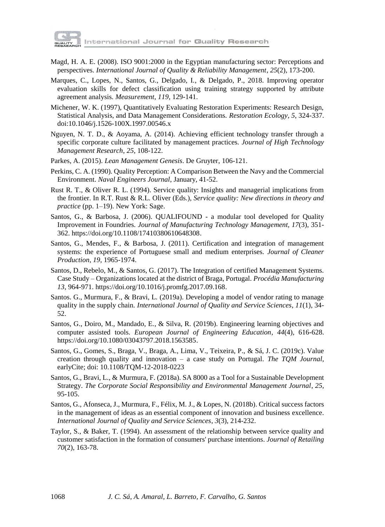

- Magd, H. A. E. (2008). ISO 9001:2000 in the Egyptian manufacturing sector: Perceptions and perspectives. *International Journal of Quality & Reliability Management*, *25*(2), 173-200.
- Marques, C., Lopes, N., Santos, G., Delgado, I., & Delgado, P., 2018. Improving operator evaluation skills for defect classification using training strategy supported by attribute agreement analysis. *Measurement*, *119*, 129-141.
- Michener, W. K. (1997), Quantitatively Evaluating Restoration Experiments: Research Design, Statistical Analysis, and Data Management Considerations. *Restoration Ecology*, *5*, 324-337. doi[:10.1046/j.1526-100X.1997.00546.x](https://doi.org/10.1046/j.1526-100X.1997.00546.x)
- Nguyen, N. T. D., & Aoyama, A. (2014). Achieving efficient technology transfer through a specific corporate culture facilitated by management practices. *Journal of High Technology Management Research*, *25*, 108-122.
- Parkes, A. (2015). *Lean Management Genesis*. De Gruyter, 106-121.
- Perkins, C. A. (1990). Quality Perception: A Comparison Between the Navy and the Commercial Environment. *Naval Engineers Journal*, January, 41-52.
- Rust R. T., & Oliver R. L. (1994). Service quality: Insights and managerial implications from the frontier. In R.T. Rust & R.L. Oliver (Eds.), *Service quality: New directions in theory and practice* (pp. 1–19). New York: Sage.
- Santos, G., & Barbosa, J. (2006). QUALIFOUND a modular tool developed for Quality Improvement in Foundries. *Journal of Manufacturing Technology Management*, *17*(3), 351- 362. [https://doi.org/10.1108/17410380610648308.](https://doi.org/10.1108/17410380610648308)
- Santos, G., Mendes, F., & Barbosa, J. (2011). Certification and integration of management systems: the experience of Portuguese small and medium enterprises. *Journal of Cleaner Production*, *19*, 1965-1974.
- Santos, D., Rebelo, M., & Santos, G. (2017). The Integration of certified Management Systems. Case Study – Organizations located at the district of Braga, Portugal. *Procédia Manufacturing 13*, 964-971[. https://doi.org/10.1016/j.promfg.2017.09.168.](https://doi.org/10.1016/j.promfg.2017.09.168)
- Santos. G., Murmura, F., & Bravi, L. (2019a). Developing a model of vendor rating to manage quality in the supply chain*. International Journal of Quality and Service Sciences*, *11*(1), 34- 52.
- Santos, G., Doiro, M., Mandado, E., & Silva, R. (2019b). Engineering learning objectives and computer assisted tools. *European Journal of Engineering Education*, *44*(4), 616-628. [https://doi.org/10.1080/03043797.2018.1563585.](https://doi.org/10.1080/03043797.2018.1563585)
- Santos, G., Gomes, S., Braga, V., Braga, A., Lima, V., Teixeira, P., & Sá, J. C. (2019c). Value creation through quality and innovation – a case study on Portugal. *The TQM Journal*, earlyCite; doi: 10.1108/TQM-12-2018-0223
- Santos, G., Bravi, L., & Murmura, F. (2018a). SA 8000 as a Tool for a Sustainable Development Strategy. *The Corporate Social Responsibility and Environmental Management Journal*, *25*, 95-105.
- Santos, G., Afonseca, J., Murmura, F., Félix, M. J., & Lopes, N. (2018b). Critical success factors in the management of ideas as an essential component of innovation and business excellence. *International Journal of Quality and Service Sciences*, *3*(3), 214-232.
- Taylor, S., & Baker, T. (1994). An assessment of the relationship between service quality and customer satisfaction in the formation of consumers' purchase intentions. *Journal of Retailing 70*(2), 163-78.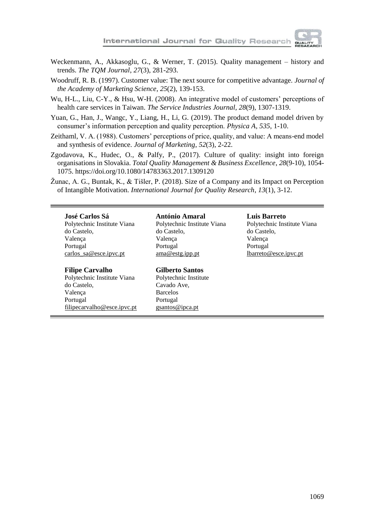

- Weckenmann, A., Akkasoglu, G., & Werner, T. (2015). Quality management history and trends. *The TQM Journal*, *27*(3), 281-293.
- Woodruff, R. B. (1997). Customer value: The next source for competitive advantage. *Journal of the Academy of Marketing Science*, *25*(2), 139-153.
- Wu, H-L., Liu, C-Y., & Hsu, W-H. (2008). An integrative model of customers' perceptions of health care services in Taiwan. *The Service Industries Journal*, *28*(9), 1307-1319.
- Yuan, G., Han, J., Wangc, Y., Liang, H., Li, G. (2019). The product demand model driven by consumer's information perception and quality perception. *Physica A*, *535*, 1-10.
- Zeithaml, V. A. (1988). Customers' perceptions of price, quality, and value: A means-end model and synthesis of evidence. *Journal of Marketing*, *52*(3), 2-22.
- Zgodavova, K., Hudec, O., & Palfy, P., (2017). Culture of quality: insight into foreign organisations in Slovakia. *Total Quality Management & Business Excellence*, *28*(9-10), 1054- 1075.<https://doi.org/10.1080/14783363.2017.1309120>
- Žunac, A. G., Buntak, K., & Tišler, P. (2018). Size of a Company and its Impact on Perception of Intangible Motivation. *International Journal for Quality Research*, *13*(1), 3-12.

#### **José Carlos Sá**

Polytechnic Institute Viana do Castelo, Valença Portugal carlos\_sa@esce.ipvc.pt

#### **Filipe Carvalho**

Polytechnic Institute Viana do Castelo, Valença Portugal filipecarvalho@esce.ipvc.pt

#### **António Amaral**

Polytechnic Institute Viana do Castelo, Valença Portugal ama@estg.ipp.pt

#### **Gilberto Santos**

Polytechnic Institute Cavado Ave, Barcelos Portugal [gsantos@ipca.pt](mailto:gsantos@ipca.pt)

#### **Luis Barreto**

Polytechnic Institute Viana do Castelo, Valença Portugal lbarreto@esce.ipvc.pt